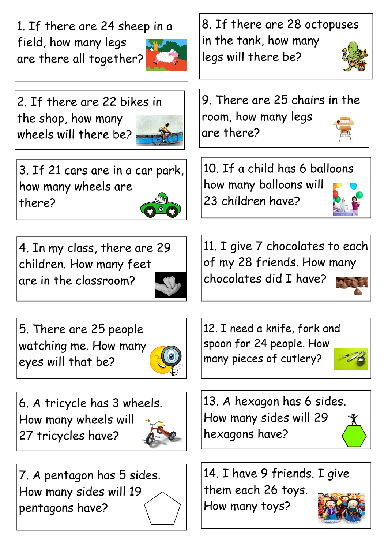1. If there are 24 sheep in a field, how many legs are there all together?



2. If there are 22 bikes in the shop, how many wheels will there be?



3. If 21 cars are in a car park, how many wheels are there?



5. There are 25 people watching me. How many eyes will that be?



6. A tricycle has 3 wheels. How many wheels will 27 tricycles have?



7. A pentagon has 5 sides. How many sides will 19 pentagons have?

8. If there are 28 octopuses in the tank, how many legs will there be?





10. If a child has 6 balloons how many balloons will 23 children have?

11. I give 7 chocolates to each of my 28 friends. How many chocolates did I have?



12. I need a knife, fork and spoon for 24 people. How many pieces of cutlery?



14. I have 9 friends. I give them each 26 toys. How many toys?

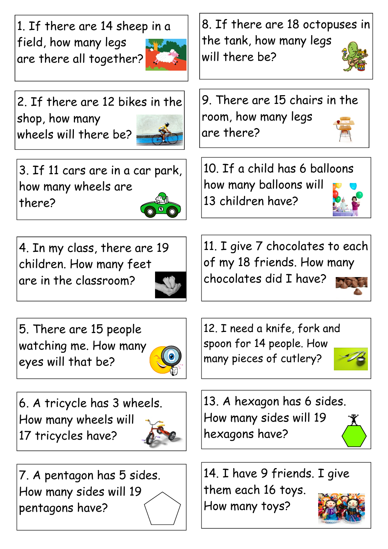1. If there are 14 sheep in a field, how many legs are there all together?



2. If there are 12 bikes in the shop, how many wheels will there be?

3. If 11 cars are in a car park, how many wheels are there?



5. There are 15 people watching me. How many eyes will that be?



6. A tricycle has 3 wheels. How many wheels will 17 tricycles have?



7. A pentagon has 5 sides. How many sides will 19 pentagons have?

8. If there are 18 octopuses in the tank, how many legs will there be?



10. If a child has 6 balloons how many balloons will 13 children have?

11. I give 7 chocolates to each of my 18 friends. How many chocolates did I have?



12. I need a knife, fork and spoon for 14 people. How many pieces of cutlery?



13. A hexagon has 6 sides. How many sides will 19 hexagons have?

14. I have 9 friends. I give them each 16 toys. How many toys?